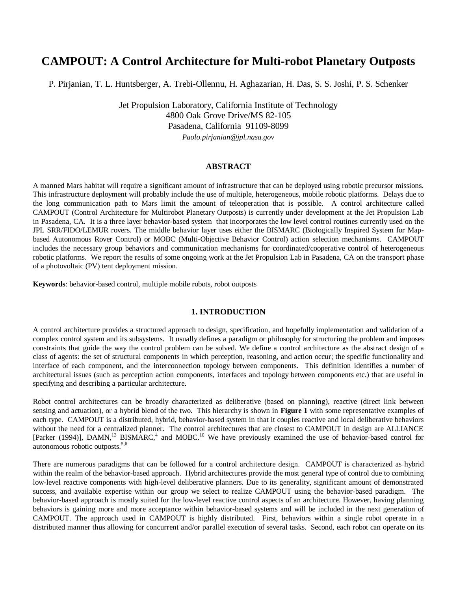# **CAMPOUT: A Control Architecture for Multi-robot Planetary Outposts**

P. Pirjanian, T. L. Huntsberger, A. Trebi-Ollennu, H. Aghazarian, H. Das, S. S. Joshi, P. S. Schenker

Jet Propulsion Laboratory, California Institute of Technology 4800 Oak Grove Drive/MS 82-105 Pasadena, California 91109-8099 *Paolo.pirjanian@jpl.nasa.gov*

## **ABSTRACT**

A manned Mars habitat will require a significant amount of infrastructure that can be deployed using robotic precursor missions. This infrastructure deployment will probably include the use of multiple, heterogeneous, mobile robotic platforms. Delays due to the long communication path to Mars limit the amount of teleoperation that is possible. A control architecture called CAMPOUT (Control Architecture for Multirobot Planetary Outposts) is currently under development at the Jet Propulsion Lab in Pasadena, CA. It is a three layer behavior-based system that incorporates the low level control routines currently used on the JPL SRR/FIDO/LEMUR rovers. The middle behavior layer uses either the BISMARC (Biologically Inspired System for Mapbased Autonomous Rover Control) or MOBC (Multi-Objective Behavior Control) action selection mechanisms. CAMPOUT includes the necessary group behaviors and communication mechanisms for coordinated/cooperative control of heterogeneous robotic platforms. We report the results of some ongoing work at the Jet Propulsion Lab in Pasadena, CA on the transport phase of a photovoltaic (PV) tent deployment mission.

**Keywords**: behavior-based control, multiple mobile robots, robot outposts

# **1. INTRODUCTION**

A control architecture provides a structured approach to design, specification, and hopefully implementation and validation of a complex control system and its subsystems. It usually defines a paradigm or philosophy for structuring the problem and imposes constraints that guide the way the control problem can be solved. We define a control architecture as the abstract design of a class of agents: the set of structural components in which perception, reasoning, and action occur; the specific functionality and interface of each component, and the interconnection topology between components. This definition identifies a number of architectural issues (such as perception action components, interfaces and topology between components etc.) that are useful in specifying and describing a particular architecture.

Robot control architectures can be broadly characterized as deliberative (based on planning), reactive (direct link between sensing and actuation), or a hybrid blend of the two. This hierarchy is shown in **Figure 1** with some representative examples of each type. CAMPOUT is a distributed, hybrid, behavior-based system in that it couples reactive and local deliberative behaviors without the need for a centralized planner. The control architectures that are closest to CAMPOUT in design are ALLIANCE [Parker (1994)], DAMN,<sup>13</sup> BISMARC,<sup>4</sup> and MOBC.<sup>10</sup> We have previously examined the use of behavior-based control for autonomous robotic outposts.5,6

There are numerous paradigms that can be followed for a control architecture design. CAMPOUT is characterized as hybrid within the realm of the behavior-based approach. Hybrid architectures provide the most general type of control due to combining low-level reactive components with high-level deliberative planners. Due to its generality, significant amount of demonstrated success, and available expertise within our group we select to realize CAMPOUT using the behavior-based paradigm. The behavior-based approach is mostly suited for the low-level reactive control aspects of an architecture. However, having planning behaviors is gaining more and more acceptance within behavior-based systems and will be included in the next generation of CAMPOUT. The approach used in CAMPOUT is highly distributed. First, behaviors within a single robot operate in a distributed manner thus allowing for concurrent and/or parallel execution of several tasks. Second, each robot can operate on its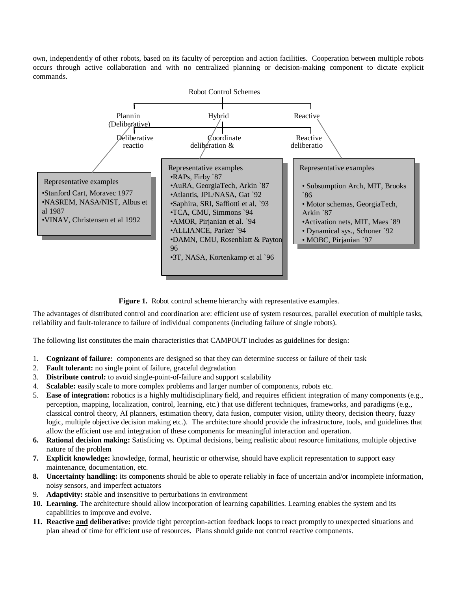own, independently of other robots, based on its faculty of perception and action facilities. Cooperation between multiple robots occurs through active collaboration and with no centralized planning or decision-making component to dictate explicit commands.



Figure 1. Robot control scheme hierarchy with representative examples.

The advantages of distributed control and coordination are: efficient use of system resources, parallel execution of multiple tasks, reliability and fault-tolerance to failure of individual components (including failure of single robots).

The following list constitutes the main characteristics that CAMPOUT includes as guidelines for design:

- 1. **Cognizant of failure:** components are designed so that they can determine success or failure of their task
- 2. **Fault tolerant:** no single point of failure, graceful degradation
- 3. **Distribute control:** to avoid single-point-of-failure and support scalability
- 4. **Scalable:** easily scale to more complex problems and larger number of components, robots etc.
- 5. **Ease of integration:** robotics is a highly multidisciplinary field, and requires efficient integration of many components (e.g., perception, mapping, localization, control, learning, etc.) that use different techniques, frameworks, and paradigms (e.g., classical control theory, AI planners, estimation theory, data fusion, computer vision, utility theory, decision theory, fuzzy logic, multiple objective decision making etc.). The architecture should provide the infrastructure, tools, and guidelines that allow the efficient use and integration of these components for meaningful interaction and operation.
- **6. Rational decision making:** Satisficing vs. Optimal decisions, being realistic about resource limitations, multiple objective nature of the problem
- **7. Explicit knowledge:** knowledge, formal, heuristic or otherwise, should have explicit representation to support easy maintenance, documentation, etc.
- **8. Uncertainty handling:** its components should be able to operate reliably in face of uncertain and/or incomplete information, noisy sensors, and imperfect actuators
- 9. **Adaptivity:** stable and insensitive to perturbations in environment
- **10. Learning.** The architecture should allow incorporation of learning capabilities. Learning enables the system and its capabilities to improve and evolve.
- **11. Reactive and deliberative:** provide tight perception-action feedback loops to react promptly to unexpected situations and plan ahead of time for efficient use of resources. Plans should guide not control reactive components.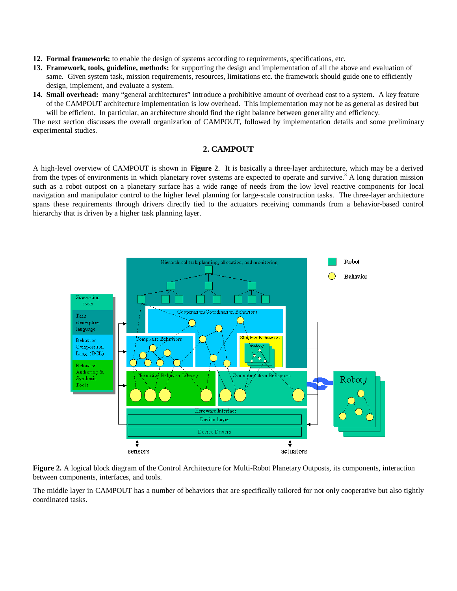- **12. Formal framework:** to enable the design of systems according to requirements, specifications, etc.
- **13. Framework, tools, guideline, methods:** for supporting the design and implementation of all the above and evaluation of same. Given system task, mission requirements, resources, limitations etc. the framework should guide one to efficiently design, implement, and evaluate a system.
- **14. Small overhead:** many "general architectures" introduce a prohibitive amount of overhead cost to a system. A key feature of the CAMPOUT architecture implementation is low overhead. This implementation may not be as general as desired but will be efficient. In particular, an architecture should find the right balance between generality and efficiency.

The next section discusses the overall organization of CAMPOUT, followed by implementation details and some preliminary experimental studies.

### **2. CAMPOUT**

A high-level overview of CAMPOUT is shown in **Figure 2**. It is basically a three-layer architecture, which may be a derived from the types of environments in which planetary rover systems are expected to operate and survive.<sup>3</sup> A long duration mission such as a robot outpost on a planetary surface has a wide range of needs from the low level reactive components for local navigation and manipulator control to the higher level planning for large-scale construction tasks. The three-layer architecture spans these requirements through drivers directly tied to the actuators receiving commands from a behavior-based control hierarchy that is driven by a higher task planning layer.



**Figure 2.** A logical block diagram of the Control Architecture for Multi-Robot Planetary Outposts, its components, interaction between components, interfaces, and tools.

The middle layer in CAMPOUT has a number of behaviors that are specifically tailored for not only cooperative but also tightly coordinated tasks.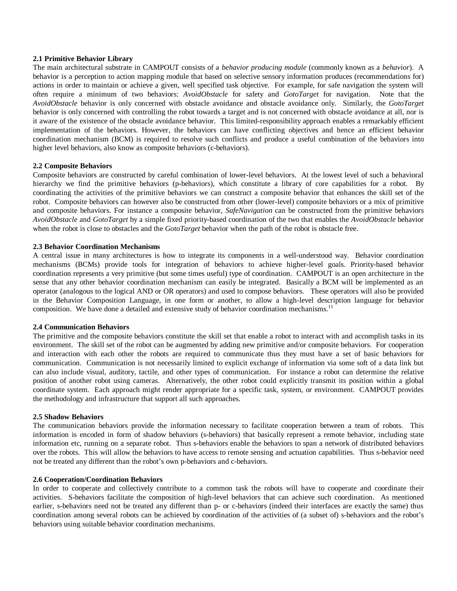#### **2.1 Primitive Behavior Library**

The main architectural substrate in CAMPOUT consists of a *behavior producing module* (commonly known as a *behavior*). A behavior is a perception to action mapping module that based on selective sensory information produces (recommendations for) actions in order to maintain or achieve a given, well specified task objective. For example, for safe navigation the system will often require a minimum of two behaviors: *AvoidObstacle* for safety and *GotoTarget* for navigation. Note that the *AvoidObstacle* behavior is only concerned with obstacle avoidance and obstacle avoidance only. Similarly, the *GotoTarget* behavior is only concerned with controlling the robot towards a target and is not concerned with obstacle avoidance at all, nor is it aware of the existence of the obstacle avoidance behavior. This limited-responsibility approach enables a remarkably efficient implementation of the behaviors. However, the behaviors can have conflicting objectives and hence an efficient behavior coordination mechanism (BCM) is required to resolve such conflicts and produce a useful combination of the behaviors into higher level behaviors, also know as composite behaviors (c-behaviors).

#### **2.2 Composite Behaviors**

Composite behaviors are constructed by careful combination of lower-level behaviors. At the lowest level of such a behavioral hierarchy we find the primitive behaviors (p-behaviors), which constitute a library of core capabilities for a robot. By coordinating the activities of the primitive behaviors we can construct a composite behavior that enhances the skill set of the robot. Composite behaviors can however also be constructed from other (lower-level) composite behaviors or a mix of primitive and composite behaviors. For instance a composite behavior, *SafeNavigation* can be constructed from the primitive behaviors *AvoidObstacle* and *GotoTarget* by a simple fixed priority-based coordination of the two that enables the *AvoidObstacle* behavior when the robot is close to obstacles and the *GotoTarget* behavior when the path of the robot is obstacle free.

#### **2.3 Behavior Coordination Mechanisms**

A central issue in many architectures is how to integrate its components in a well-understood way. Behavior coordination mechanisms (BCMs) provide tools for integration of behaviors to achieve higher-level goals. Priority-based behavior coordination represents a very primitive (but some times useful) type of coordination. CAMPOUT is an open architecture in the sense that any other behavior coordination mechanism can easily be integrated. Basically a BCM will be implemented as an operator (analogous to the logical AND or OR operators) and used to compose behaviors. These operators will also be provided in the Behavior Composition Language, in one form or another, to allow a high-level description language for behavior composition. We have done a detailed and extensive study of behavior coordination mechanisms.<sup>11</sup>

#### **2.4 Communication Behaviors**

The primitive and the composite behaviors constitute the skill set that enable a robot to interact with and accomplish tasks in its environment. The skill set of the robot can be augmented by adding new primitive and/or composite behaviors. For cooperation and interaction with each other the robots are required to communicate thus they must have a set of basic behaviors for communication. Communication is not necessarily limited to explicit exchange of information via some soft of a data link but can also include visual, auditory, tactile, and other types of communication. For instance a robot can determine the relative position of another robot using cameras. Alternatively, the other robot could explicitly transmit its position within a global coordinate system. Each approach might render appropriate for a specific task, system, or environment. CAMPOUT provides the methodology and infrastructure that support all such approaches.

#### **2.5 Shadow Behaviors**

The communication behaviors provide the information necessary to facilitate cooperation between a team of robots. This information is encoded in form of shadow behaviors (s-behaviors) that basically represent a remote behavior, including state information etc, running on a separate robot. Thus s-behaviors enable the behaviors to span a network of distributed behaviors over the robots. This will allow the behaviors to have access to remote sensing and actuation capabilities. Thus s-behavior need not be treated any different than the robot's own p-behaviors and c-behaviors.

### **2.6 Cooperation/Coordination Behaviors**

In order to cooperate and collectively contribute to a common task the robots will have to cooperate and coordinate their activities. S-behaviors facilitate the composition of high-level behaviors that can achieve such coordination. As mentioned earlier, s-behaviors need not be treated any different than p- or c-behaviors (indeed their interfaces are exactly the same) thus coordination among several robots can be achieved by coordination of the activities of (a subset of) s-behaviors and the robot's behaviors using suitable behavior coordination mechanisms.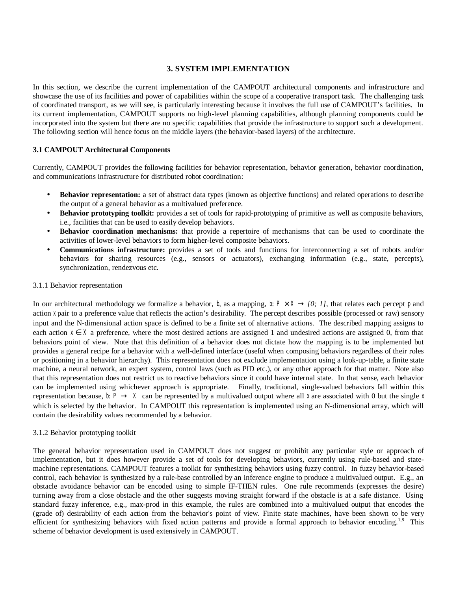# **3. SYSTEM IMPLEMENTATION**

In this section, we describe the current implementation of the CAMPOUT architectural components and infrastructure and showcase the use of its facilities and power of capabilities within the scope of a cooperative transport task. The challenging task of coordinated transport, as we will see, is particularly interesting because it involves the full use of CAMPOUT's facilities. In its current implementation, CAMPOUT supports no high-level planning capabilities, although planning components could be incorporated into the system but there are no specific capabilities that provide the infrastructure to support such a development. The following section will hence focus on the middle layers (the behavior-based layers) of the architecture.

# **3.1 CAMPOUT Architectural Components**

Currently, CAMPOUT provides the following facilities for behavior representation, behavior generation, behavior coordination, and communications infrastructure for distributed robot coordination:

- **Behavior representation:** a set of abstract data types (known as objective functions) and related operations to describe the output of a general behavior as a multivalued preference.
- **Behavior prototyping toolkit:** provides a set of tools for rapid-prototyping of primitive as well as composite behaviors, i.e., facilities that can be used to easily develop behaviors.
- **Behavior coordination mechanisms:** that provide a repertoire of mechanisms that can be used to coordinate the activities of lower-level behaviors to form higher-level composite behaviors.
- **Communications infrastructure:** provides a set of tools and functions for interconnecting a set of robots and/or behaviors for sharing resources (e.g., sensors or actuators), exchanging information (e.g., state, percepts), synchronization, rendezvous etc.

#### 3.1.1 Behavior representation

In our architectural methodology we formalize a behavior, *b*, as a mapping, *b*:  $P \times X \rightarrow [0; 1]$ , that relates each percept *p* and action *x* pair to a preference value that reflects the action's desirability. The percept describes possible (processed or raw) sensory input and the N-dimensional action space is defined to be a finite set of alternative actions. The described mapping assigns to each action  $x \in X$  a preference, where the most desired actions are assigned 1 and undesired actions are assigned 0, from that behaviors point of view. Note that this definition of a behavior does not dictate how the mapping is to be implemented but provides a general recipe for a behavior with a well-defined interface (useful when composing behaviors regardless of their roles or positioning in a behavior hierarchy). This representation does not exclude implementation using a look-up-table, a finite state machine, a neural network, an expert system, control laws (such as PID etc.), or any other approach for that matter. Note also that this representation does not restrict us to reactive behaviors since it could have internal state. In that sense, each behavior can be implemented using whichever approach is appropriate. Finally, traditional, single-valued behaviors fall within this representation because, *b*:  $P \rightarrow X$  can be represented by a multivalued output where all *x* are associated with 0 but the single *x* which is selected by the behavior. In CAMPOUT this representation is implemented using an N-dimensional array, which will contain the desirability values recommended by a behavior.

#### 3.1.2 Behavior prototyping toolkit

The general behavior representation used in CAMPOUT does not suggest or prohibit any particular style or approach of implementation, but it does however provide a set of tools for developing behaviors, currently using rule-based and statemachine representations. CAMPOUT features a toolkit for synthesizing behaviors using fuzzy control. In fuzzy behavior-based control, each behavior is synthesized by a rule-base controlled by an inference engine to produce a multivalued output. E.g., an obstacle avoidance behavior can be encoded using to simple IF-THEN rules. One rule recommends (expresses the desire) turning away from a close obstacle and the other suggests moving straight forward if the obstacle is at a safe distance. Using standard fuzzy inference, e.g., max-prod in this example, the rules are combined into a multivalued output that encodes the (grade of) desirability of each action from the behavior's point of view. Finite state machines, have been shown to be very efficient for synthesizing behaviors with fixed action patterns and provide a formal approach to behavior encoding.<sup>1,8</sup> This scheme of behavior development is used extensively in CAMPOUT.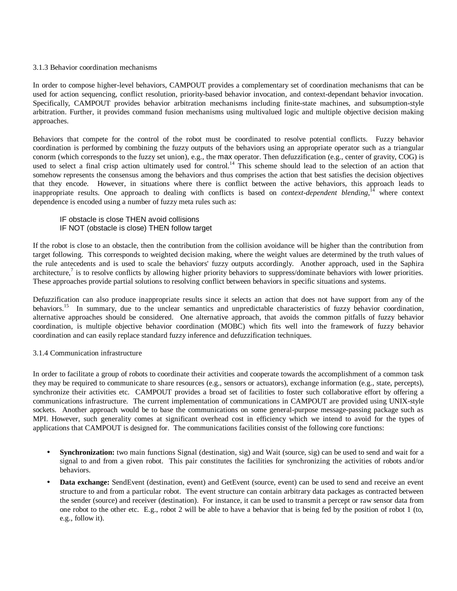## 3.1.3 Behavior coordination mechanisms

In order to compose higher-level behaviors, CAMPOUT provides a complementary set of coordination mechanisms that can be used for action sequencing, conflict resolution, priority-based behavior invocation, and context-dependant behavior invocation. Specifically, CAMPOUT provides behavior arbitration mechanisms including finite-state machines, and subsumption-style arbitration. Further, it provides command fusion mechanisms using multivalued logic and multiple objective decision making approaches.

Behaviors that compete for the control of the robot must be coordinated to resolve potential conflicts. Fuzzy behavior coordination is performed by combining the fuzzy outputs of the behaviors using an appropriate operator such as a triangular conorm (which corresponds to the fuzzy set union), e.g., the max operator. Then defuzzification (e.g., center of gravity, COG) is used to select a final crisp action ultimately used for control.<sup>14</sup> This scheme should lead to the selection of an action that somehow represents the consensus among the behaviors and thus comprises the action that best satisfies the decision objectives that they encode. However, in situations where there is conflict between the active behaviors, this approach leads to inappropriate results. One approach to dealing with conflicts is based on *context-dependent blending*,<sup>14</sup> where context dependence is encoded using a number of fuzzy meta rules such as:

# IF obstacle is close THEN avoid collisions IF NOT (obstacle is close) THEN follow target

If the robot is close to an obstacle, then the contribution from the collision avoidance will be higher than the contribution from target following. This corresponds to weighted decision making, where the weight values are determined by the truth values of the rule antecedents and is used to scale the behaviors' fuzzy outputs accordingly. Another approach, used in the Saphira architecture,<sup>7</sup> is to resolve conflicts by allowing higher priority behaviors to suppress/dominate behaviors with lower priorities. These approaches provide partial solutions to resolving conflict between behaviors in specific situations and systems.

Defuzzification can also produce inappropriate results since it selects an action that does not have support from any of the behaviors.<sup>15</sup> In summary, due to the unclear semantics and unpredictable characteristics of fuzzy behavior coordination, alternative approaches should be considered. One alternative approach, that avoids the common pitfalls of fuzzy behavior coordination, is multiple objective behavior coordination (MOBC) which fits well into the framework of fuzzy behavior coordination and can easily replace standard fuzzy inference and defuzzification techniques.

# 3.1.4 Communication infrastructure

In order to facilitate a group of robots to coordinate their activities and cooperate towards the accomplishment of a common task they may be required to communicate to share resources (e.g., sensors or actuators), exchange information (e.g., state, percepts), synchronize their activities etc. CAMPOUT provides a broad set of facilities to foster such collaborative effort by offering a communications infrastructure. The current implementation of communications in CAMPOUT are provided using UNIX-style sockets. Another approach would be to base the communications on some general-purpose message-passing package such as MPI. However, such generality comes at significant overhead cost in efficiency which we intend to avoid for the types of applications that CAMPOUT is designed for. The communications facilities consist of the following core functions:

- **Synchronization:** two main functions Signal (destination, sig) and Wait (source, sig) can be used to send and wait for a signal to and from a given robot. This pair constitutes the facilities for synchronizing the activities of robots and/or behaviors.
- **Data exchange:** SendEvent (destination, event) and GetEvent (source, event) can be used to send and receive an event structure to and from a particular robot. The event structure can contain arbitrary data packages as contracted between the sender (source) and receiver (destination). For instance, it can be used to transmit a percept or raw sensor data from one robot to the other etc. E.g., robot 2 will be able to have a behavior that is being fed by the position of robot 1 (to, e.g., follow it).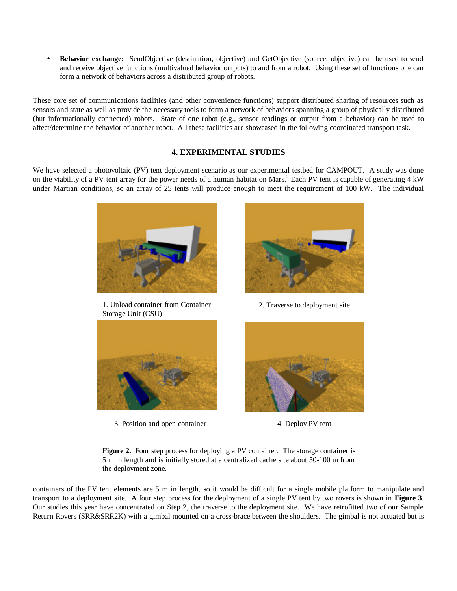• **Behavior exchange:** SendObjective (destination, objective) and GetObjective (source, objective) can be used to send and receive objective functions (multivalued behavior outputs) to and from a robot. Using these set of functions one can form a network of behaviors across a distributed group of robots.

These core set of communications facilities (and other convenience functions) support distributed sharing of resources such as sensors and state as well as provide the necessary tools to form a network of behaviors spanning a group of physically distributed (but informationally connected) robots. State of one robot (e.g., sensor readings or output from a behavior) can be used to affect/determine the behavior of another robot. All these facilities are showcased in the following coordinated transport task.

# **4. EXPERIMENTAL STUDIES**

We have selected a photovoltaic (PV) tent deployment scenario as our experimental testbed for CAMPOUT. A study was done on the viability of a PV tent array for the power needs of a human habitat on Mars.<sup>2</sup> Each PV tent is capable of generating  $4 \text{ kW}$ under Martian conditions, so an array of 25 tents will produce enough to meet the requirement of 100 kW. The individual



1. Unload container from Container Storage Unit (CSU)



3. Position and open container 4. Deploy PV tent



2. Traverse to deployment site



**Figure 2.** Four step process for deploying a PV container. The storage container is 5 m in length and is initially stored at a centralized cache site about 50-100 m from the deployment zone.

containers of the PV tent elements are 5 m in length, so it would be difficult for a single mobile platform to manipulate and transport to a deployment site. A four step process for the deployment of a single PV tent by two rovers is shown in **Figure 3**. Our studies this year have concentrated on Step 2, the traverse to the deployment site. We have retrofitted two of our Sample Return Rovers (SRR&SRR2K) with a gimbal mounted on a cross-brace between the shoulders. The gimbal is not actuated but is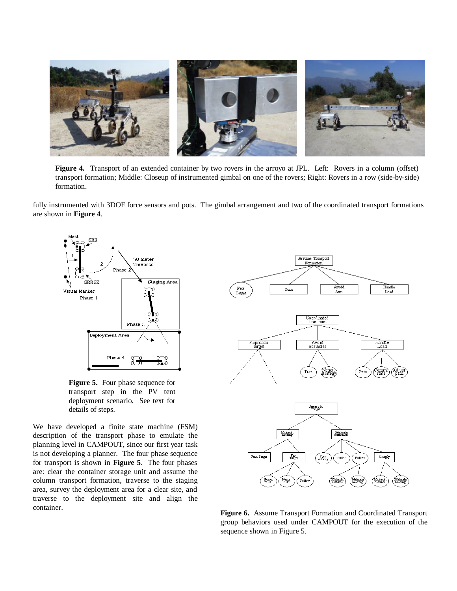

**Figure 4.** Transport of an extended container by two rovers in the arroyo at JPL. Left: Rovers in a column (offset) transport formation; Middle: Closeup of instrumented gimbal on one of the rovers; Right: Rovers in a row (side-by-side) formation.

fully instrumented with 3DOF force sensors and pots. The gimbal arrangement and two of the coordinated transport formations are shown in **Figure 4**.



**Figure 5.** Four phase sequence for transport step in the PV tent deployment scenario. See text for details of steps.

We have developed a finite state machine (FSM) description of the transport phase to emulate the planning level in CAMPOUT, since our first year task is not developing a planner. The four phase sequence for transport is shown in **Figure 5**. The four phases are: clear the container storage unit and assume the column transport formation, traverse to the staging area, survey the deployment area for a clear site, and traverse to the deployment site and align the container.



**Figure 6.** Assume Transport Formation and Coordinated Transport group behaviors used under CAMPOUT for the execution of the sequence shown in Figure 5.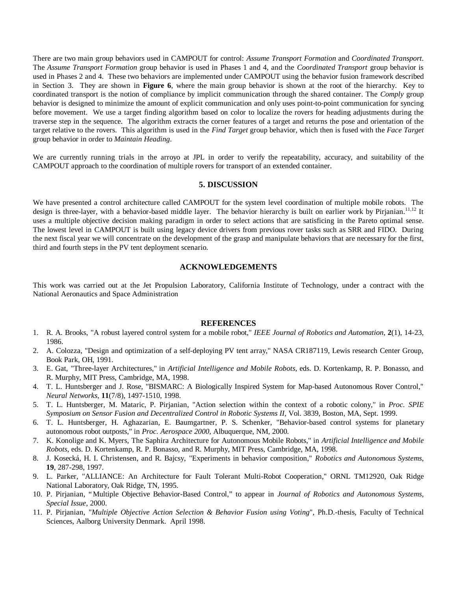There are two main group behaviors used in CAMPOUT for control: *Assume Transport Formation* and *Coordinated Transport*. The *Assume Transport Formation* group behavior is used in Phases 1 and 4, and the *Coordinated Transport* group behavior is used in Phases 2 and 4. These two behaviors are implemented under CAMPOUT using the behavior fusion framework described in Section 3. They are shown in **Figure 6**, where the main group behavior is shown at the root of the hierarchy. Key to coordinated transport is the notion of compliance by implicit communication through the shared container. The *Comply* group behavior is designed to minimize the amount of explicit communication and only uses point-to-point communication for syncing before movement. We use a target finding algorithm based on color to localize the rovers for heading adjustments during the traverse step in the sequence. The algorithm extracts the corner features of a target and returns the pose and orientation of the target relative to the rovers. This algorithm is used in the *Find Target* group behavior, which then is fused with the *Face Target* group behavior in order to *Maintain Heading*.

We are currently running trials in the arroyo at JPL in order to verify the repeatability, accuracy, and suitability of the CAMPOUT approach to the coordination of multiple rovers for transport of an extended container.

# **5. DISCUSSION**

We have presented a control architecture called CAMPOUT for the system level coordination of multiple mobile robots. The design is three-layer, with a behavior-based middle layer. The behavior hierarchy is built on earlier work by Pirjanian.<sup>11,12</sup> It uses a multiple objective decision making paradigm in order to select actions that are satisficing in the Pareto optimal sense. The lowest level in CAMPOUT is built using legacy device drivers from previous rover tasks such as SRR and FIDO. During the next fiscal year we will concentrate on the development of the grasp and manipulate behaviors that are necessary for the first, third and fourth steps in the PV tent deployment scenario.

# **ACKNOWLEDGEMENTS**

This work was carried out at the Jet Propulsion Laboratory, California Institute of Technology, under a contract with the National Aeronautics and Space Administration

#### **REFERENCES**

- 1. R. A. Brooks, ''A robust layered control system for a mobile robot,'' *IEEE Journal of Robotics and Automation*, **2**(1), 14-23, 1986.
- 2. A. Colozza, ''Design and optimization of a self-deploying PV tent array,'' NASA CR187119, Lewis research Center Group, Book Park, OH, 1991.
- 3. E. Gat, ''Three-layer Architectures,'' in *Artificial Intelligence and Mobile Robots*, eds. D. Kortenkamp, R. P. Bonasso, and R. Murphy, MIT Press, Cambridge, MA, 1998.
- 4. T. L. Huntsberger and J. Rose, ''BISMARC: A Biologically Inspired System for Map-based Autonomous Rover Control,'' *Neural Networks*, **11**(7/8), 1497-1510, 1998.
- 5. T. L. Huntsberger, M. Mataric, P. Pirjanian, ''Action selection within the context of a robotic colony,'' in *Proc. SPIE Symposium on Sensor Fusion and Decentralized Control in Robotic Systems II*, Vol. 3839, Boston, MA, Sept. 1999.
- 6. T. L. Huntsberger, H. Aghazarian, E. Baumgartner, P. S. Schenker, ''Behavior-based control systems for planetary autonomous robot outposts,'' in *Proc. Aerospace 2000,* Albuquerque, NM, 2000*.*
- 7. K. Konolige and K. Myers, The Saphira Architecture for Autonomous Mobile Robots,'' in *Artificial Intelligence and Mobile Robots*, eds. D. Kortenkamp, R. P. Bonasso, and R. Murphy, MIT Press, Cambridge, MA, 1998.
- 8. J. Kosecká, H. I. Christensen, and R. Bajcsy, ''Experiments in behavior composition,'' *Robotics and Autonomous Systems*, **19**, 287-298, 1997.
- 9. L. Parker, ''ALLIANCE: An Architecture for Fault Tolerant Multi-Robot Cooperation,'' ORNL TM12920, Oak Ridge National Laboratory, Oak Ridge, TN, 1995.
- 10. P. Pirjanian, "Multiple Objective Behavior-Based Control," to appear in *Journal of Robotics and Autonomous Systems, Special Issue*, 2000.
- 11. P. Pirjanian, "*Multiple Objective Action Selection & Behavior Fusion using Voting*"*,* Ph.D.-thesis, Faculty of Technical Sciences, Aalborg University Denmark. April 1998.